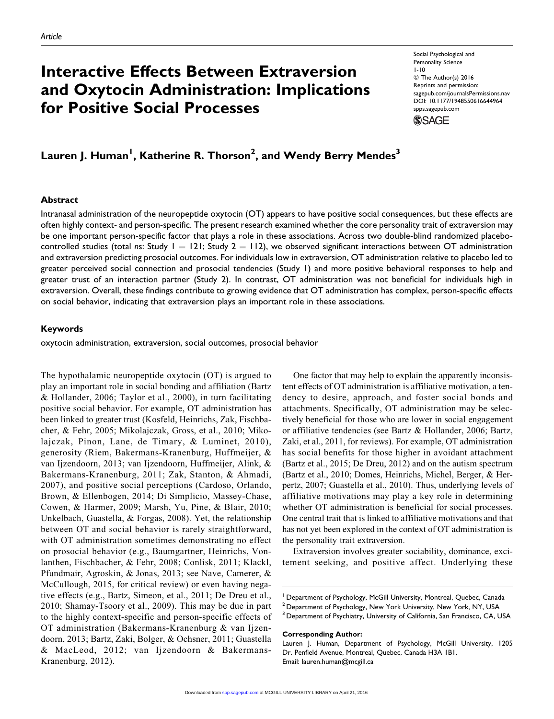# Interactive Effects Between Extraversion and Oxytocin Administration: Implications for Positive Social Processes

Social Psychological and Personality Science 1-10 © The Author(s) 2016 Reprints and permission: [sagepub.com/journalsPermissions.nav](http://www.sagepub.com/journalsPermissions.nav) DOI: 10.1177/1948550616644964 [spps.sagepub.com](http://spps.sagepub.com) **SSAGE** 

Lauren J. Human<sup>1</sup>, Katherine R. Thorson<sup>2</sup>, and Wendy Berry Mendes<sup>3</sup>

# Abstract

Intranasal administration of the neuropeptide oxytocin (OT) appears to have positive social consequences, but these effects are often highly context- and person-specific. The present research examined whether the core personality trait of extraversion may be one important person-specific factor that plays a role in these associations. Across two double-blind randomized placebocontrolled studies (total ns: Study  $1 = 121$ ; Study  $2 = 112$ ), we observed significant interactions between OT administration and extraversion predicting prosocial outcomes. For individuals low in extraversion, OT administration relative to placebo led to greater perceived social connection and prosocial tendencies (Study 1) and more positive behavioral responses to help and greater trust of an interaction partner (Study 2). In contrast, OT administration was not beneficial for individuals high in extraversion. Overall, these findings contribute to growing evidence that OT administration has complex, person-specific effects on social behavior, indicating that extraversion plays an important role in these associations.

# Keywords

oxytocin administration, extraversion, social outcomes, prosocial behavior

The hypothalamic neuropeptide oxytocin (OT) is argued to play an important role in social bonding and affiliation (Bartz & Hollander, 2006; Taylor et al., 2000), in turn facilitating positive social behavior. For example, OT administration has been linked to greater trust (Kosfeld, Heinrichs, Zak, Fischbacher, & Fehr, 2005; Mikolajczak, Gross, et al., 2010; Mikolajczak, Pinon, Lane, de Timary, & Luminet, 2010), generosity (Riem, Bakermans-Kranenburg, Huffmeijer, & van Ijzendoorn, 2013; van Ijzendoorn, Huffmeijer, Alink, & Bakermans-Kranenburg, 2011; Zak, Stanton, & Ahmadi, 2007), and positive social perceptions (Cardoso, Orlando, Brown, & Ellenbogen, 2014; Di Simplicio, Massey-Chase, Cowen, & Harmer, 2009; Marsh, Yu, Pine, & Blair, 2010; Unkelbach, Guastella, & Forgas, 2008). Yet, the relationship between OT and social behavior is rarely straightforward, with OT administration sometimes demonstrating no effect on prosocial behavior (e.g., Baumgartner, Heinrichs, Vonlanthen, Fischbacher, & Fehr, 2008; Conlisk, 2011; Klackl, Pfundmair, Agroskin, & Jonas, 2013; see Nave, Camerer, & McCullough, 2015, for critical review) or even having negative effects (e.g., Bartz, Simeon, et al., 2011; De Dreu et al., 2010; Shamay-Tsoory et al., 2009). This may be due in part to the highly context-specific and person-specific effects of OT administration (Bakermans-Kranenburg & van Ijzendoorn, 2013; Bartz, Zaki, Bolger, & Ochsner, 2011; Guastella & MacLeod, 2012; van Ijzendoorn & Bakermans-Kranenburg, 2012).

One factor that may help to explain the apparently inconsistent effects of OT administration is affiliative motivation, a tendency to desire, approach, and foster social bonds and attachments. Specifically, OT administration may be selectively beneficial for those who are lower in social engagement or affiliative tendencies (see Bartz & Hollander, 2006; Bartz, Zaki, et al., 2011, for reviews). For example, OT administration has social benefits for those higher in avoidant attachment (Bartz et al., 2015; De Dreu, 2012) and on the autism spectrum (Bartz et al., 2010; Domes, Heinrichs, Michel, Berger, & Herpertz, 2007; Guastella et al., 2010). Thus, underlying levels of affiliative motivations may play a key role in determining whether OT administration is beneficial for social processes. One central trait that is linked to affiliative motivations and that has not yet been explored in the context of OT administration is the personality trait extraversion.

Extraversion involves greater sociability, dominance, excitement seeking, and positive affect. Underlying these

<sup>3</sup> Department of Psychiatry, University of California, San Francisco, CA, USA

#### Corresponding Author:

<sup>&</sup>lt;sup>1</sup> Department of Psychology, McGill University, Montreal, Quebec, Canada <sup>2</sup> Department of Psychology, New York University, New York, NY, USA

Lauren J. Human, Department of Psychology, McGill University, 1205 Dr. Penfield Avenue, Montreal, Quebec, Canada H3A 1B1. Email: lauren.human@mcgill.ca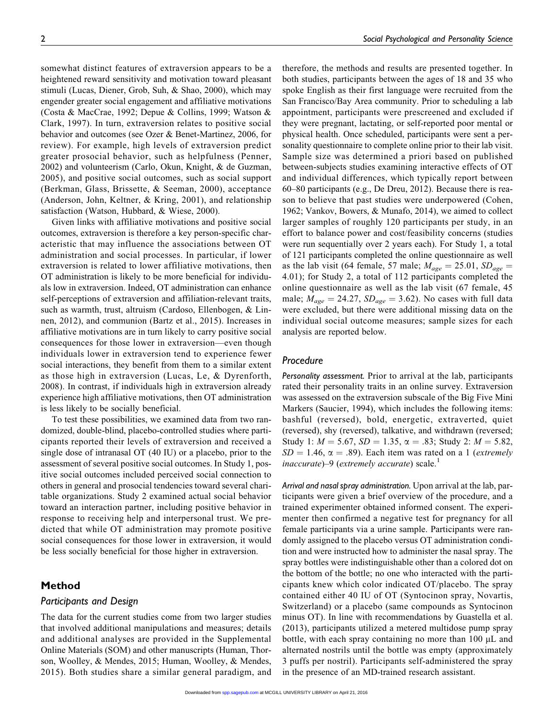somewhat distinct features of extraversion appears to be a heightened reward sensitivity and motivation toward pleasant stimuli (Lucas, Diener, Grob, Suh, & Shao, 2000), which may engender greater social engagement and affiliative motivations (Costa & MacCrae, 1992; Depue & Collins, 1999; Watson & Clark, 1997). In turn, extraversion relates to positive social behavior and outcomes (see Ozer & Benet-Martinez, 2006, for review). For example, high levels of extraversion predict greater prosocial behavior, such as helpfulness (Penner, 2002) and volunteerism (Carlo, Okun, Knight, & de Guzman, 2005), and positive social outcomes, such as social support (Berkman, Glass, Brissette, & Seeman, 2000), acceptance (Anderson, John, Keltner, & Kring, 2001), and relationship satisfaction (Watson, Hubbard, & Wiese, 2000).

Given links with affiliative motivations and positive social outcomes, extraversion is therefore a key person-specific characteristic that may influence the associations between OT administration and social processes. In particular, if lower extraversion is related to lower affiliative motivations, then OT administration is likely to be more beneficial for individuals low in extraversion. Indeed, OT administration can enhance self-perceptions of extraversion and affiliation-relevant traits, such as warmth, trust, altruism (Cardoso, Ellenbogen, & Linnen, 2012), and communion (Bartz et al., 2015). Increases in affiliative motivations are in turn likely to carry positive social consequences for those lower in extraversion—even though individuals lower in extraversion tend to experience fewer social interactions, they benefit from them to a similar extent as those high in extraversion (Lucas, Le, & Dyrenforth, 2008). In contrast, if individuals high in extraversion already experience high affiliative motivations, then OT administration is less likely to be socially beneficial.

To test these possibilities, we examined data from two randomized, double-blind, placebo-controlled studies where participants reported their levels of extraversion and received a single dose of intranasal OT (40 IU) or a placebo, prior to the assessment of several positive social outcomes. In Study 1, positive social outcomes included perceived social connection to others in general and prosocial tendencies toward several charitable organizations. Study 2 examined actual social behavior toward an interaction partner, including positive behavior in response to receiving help and interpersonal trust. We predicted that while OT administration may promote positive social consequences for those lower in extraversion, it would be less socially beneficial for those higher in extraversion.

## Method

## Participants and Design

The data for the current studies come from two larger studies that involved additional manipulations and measures; details and additional analyses are provided in the Supplemental Online Materials (SOM) and other manuscripts (Human, Thorson, Woolley, & Mendes, 2015; Human, Woolley, & Mendes, 2015). Both studies share a similar general paradigm, and

therefore, the methods and results are presented together. In both studies, participants between the ages of 18 and 35 who spoke English as their first language were recruited from the San Francisco/Bay Area community. Prior to scheduling a lab appointment, participants were prescreened and excluded if they were pregnant, lactating, or self-reported poor mental or physical health. Once scheduled, participants were sent a personality questionnaire to complete online prior to their lab visit. Sample size was determined a priori based on published between-subjects studies examining interactive effects of OT and individual differences, which typically report between 60–80 participants (e.g., De Dreu, 2012). Because there is reason to believe that past studies were underpowered (Cohen, 1962; Vankov, Bowers, & Munafo, 2014), we aimed to collect larger samples of roughly 120 participants per study, in an effort to balance power and cost/feasibility concerns (studies were run sequentially over 2 years each). For Study 1, a total of 121 participants completed the online questionnaire as well as the lab visit (64 female, 57 male;  $M_{age} = 25.01$ ,  $SD_{age} =$ 4.01); for Study 2, a total of 112 participants completed the online questionnaire as well as the lab visit (67 female, 45 male;  $M_{age} = 24.27$ ,  $SD_{age} = 3.62$ ). No cases with full data were excluded, but there were additional missing data on the individual social outcome measures; sample sizes for each analysis are reported below.

## Procedure

Personality assessment. Prior to arrival at the lab, participants rated their personality traits in an online survey. Extraversion was assessed on the extraversion subscale of the Big Five Mini Markers (Saucier, 1994), which includes the following items: bashful (reversed), bold, energetic, extraverted, quiet (reversed), shy (reversed), talkative, and withdrawn (reversed; Study 1:  $M = 5.67$ ,  $SD = 1.35$ ,  $\alpha = .83$ ; Study 2:  $M = 5.82$ ,  $SD = 1.46$ ,  $\alpha = .89$ ). Each item was rated on a 1 (*extremely* inaccurate)–9 (extremely accurate) scale. $<sup>1</sup>$ </sup>

Arrival and nasal spray administration. Upon arrival at the lab, participants were given a brief overview of the procedure, and a trained experimenter obtained informed consent. The experimenter then confirmed a negative test for pregnancy for all female participants via a urine sample. Participants were randomly assigned to the placebo versus OT administration condition and were instructed how to administer the nasal spray. The spray bottles were indistinguishable other than a colored dot on the bottom of the bottle; no one who interacted with the participants knew which color indicated OT/placebo. The spray contained either 40 IU of OT (Syntocinon spray, Novartis, Switzerland) or a placebo (same compounds as Syntocinon minus OT). In line with recommendations by Guastella et al. (2013), participants utilized a metered multidose pump spray bottle, with each spray containing no more than  $100 \mu L$  and alternated nostrils until the bottle was empty (approximately 3 puffs per nostril). Participants self-administered the spray in the presence of an MD-trained research assistant.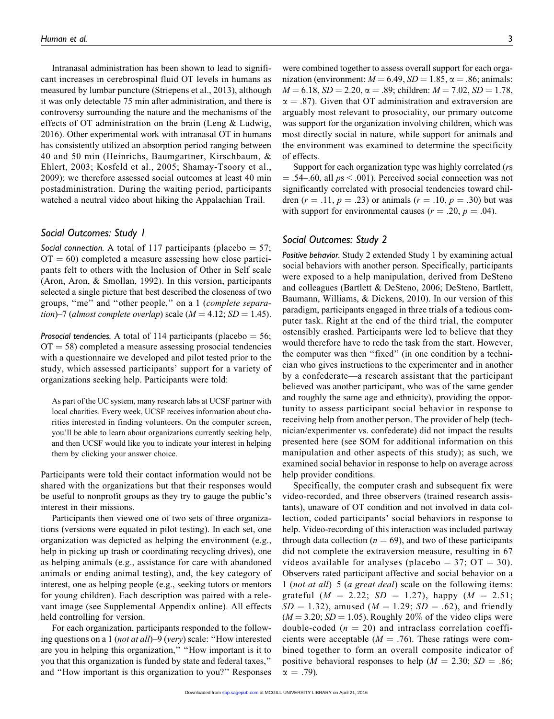Intranasal administration has been shown to lead to significant increases in cerebrospinal fluid OT levels in humans as measured by lumbar puncture (Striepens et al., 2013), although it was only detectable 75 min after administration, and there is controversy surrounding the nature and the mechanisms of the effects of OT administration on the brain (Leng & Ludwig, 2016). Other experimental work with intranasal OT in humans has consistently utilized an absorption period ranging between 40 and 50 min (Heinrichs, Baumgartner, Kirschbaum, & Ehlert, 2003; Kosfeld et al., 2005; Shamay-Tsoory et al., 2009); we therefore assessed social outcomes at least 40 min postadministration. During the waiting period, participants watched a neutral video about hiking the Appalachian Trail.

# Social Outcomes: Study 1

Social connection. A total of 117 participants (placebo  $= 57$ ;  $OT = 60$ ) completed a measure assessing how close participants felt to others with the Inclusion of Other in Self scale (Aron, Aron, & Smollan, 1992). In this version, participants selected a single picture that best described the closeness of two groups, "me" and "other people," on a 1 (complete separation)–7 (almost complete overlap) scale ( $M = 4.12$ ; SD = 1.45).

Prosocial tendencies. A total of 114 participants (placebo = 56;  $OT = 58$ ) completed a measure assessing prosocial tendencies with a questionnaire we developed and pilot tested prior to the study, which assessed participants' support for a variety of organizations seeking help. Participants were told:

As part of the UC system, many research labs at UCSF partner with local charities. Every week, UCSF receives information about charities interested in finding volunteers. On the computer screen, you'll be able to learn about organizations currently seeking help, and then UCSF would like you to indicate your interest in helping them by clicking your answer choice.

Participants were told their contact information would not be shared with the organizations but that their responses would be useful to nonprofit groups as they try to gauge the public's interest in their missions.

Participants then viewed one of two sets of three organizations (versions were equated in pilot testing). In each set, one organization was depicted as helping the environment (e.g., help in picking up trash or coordinating recycling drives), one as helping animals (e.g., assistance for care with abandoned animals or ending animal testing), and, the key category of interest, one as helping people (e.g., seeking tutors or mentors for young children). Each description was paired with a relevant image (see Supplemental Appendix online). All effects held controlling for version.

For each organization, participants responded to the following questions on a 1 (not at all)–9 (very) scale: ''How interested are you in helping this organization,'' ''How important is it to you that this organization is funded by state and federal taxes,'' and ''How important is this organization to you?'' Responses

were combined together to assess overall support for each organization (environment:  $M = 6.49$ ,  $SD = 1.85$ ,  $\alpha = .86$ ; animals:  $M = 6.18$ ,  $SD = 2.20$ ,  $\alpha = .89$ ; children:  $M = 7.02$ ,  $SD = 1.78$ ,  $\alpha = .87$ ). Given that OT administration and extraversion are arguably most relevant to prosociality, our primary outcome was support for the organization involving children, which was most directly social in nature, while support for animals and the environment was examined to determine the specificity of effects.

Support for each organization type was highly correlated (rs  $= .54-.60$ , all  $ps < .001$ ). Perceived social connection was not significantly correlated with prosocial tendencies toward children (r = .11, p = .23) or animals (r = .10, p = .30) but was with support for environmental causes ( $r = .20$ ,  $p = .04$ ).

# Social Outcomes: Study 2

Positive behavior. Study 2 extended Study 1 by examining actual social behaviors with another person. Specifically, participants were exposed to a help manipulation, derived from DeSteno and colleagues (Bartlett & DeSteno, 2006; DeSteno, Bartlett, Baumann, Williams, & Dickens, 2010). In our version of this paradigm, participants engaged in three trials of a tedious computer task. Right at the end of the third trial, the computer ostensibly crashed. Participants were led to believe that they would therefore have to redo the task from the start. However, the computer was then ''fixed'' (in one condition by a technician who gives instructions to the experimenter and in another by a confederate—a research assistant that the participant believed was another participant, who was of the same gender and roughly the same age and ethnicity), providing the opportunity to assess participant social behavior in response to receiving help from another person. The provider of help (technician/experimenter vs. confederate) did not impact the results presented here (see SOM for additional information on this manipulation and other aspects of this study); as such, we examined social behavior in response to help on average across help provider conditions.

Specifically, the computer crash and subsequent fix were video-recorded, and three observers (trained research assistants), unaware of OT condition and not involved in data collection, coded participants' social behaviors in response to help. Video-recording of this interaction was included partway through data collection ( $n = 69$ ), and two of these participants did not complete the extraversion measure, resulting in 67 videos available for analyses (placebo = 37;  $OT = 30$ ). Observers rated participant affective and social behavior on a 1 (not at all)–5 (a great deal) scale on the following items: grateful  $(M = 2.22; SD = 1.27)$ , happy  $(M = 2.51;$  $SD = 1.32$ ), amused ( $M = 1.29$ ;  $SD = .62$ ), and friendly  $(M = 3.20; SD = 1.05)$ . Roughly 20% of the video clips were double-coded ( $n = 20$ ) and intraclass correlation coefficients were acceptable ( $M = .76$ ). These ratings were combined together to form an overall composite indicator of positive behavioral responses to help ( $M = 2.30$ ;  $SD = .86$ ;  $\alpha = .79$ ).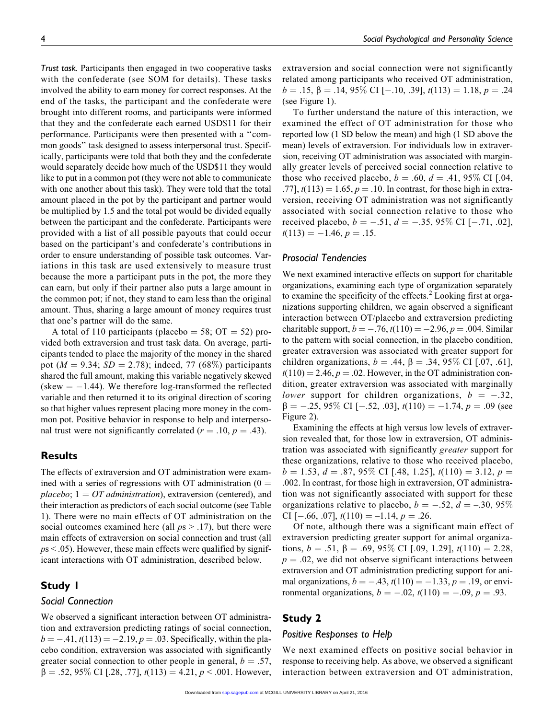Trust task. Participants then engaged in two cooperative tasks with the confederate (see SOM for details). These tasks involved the ability to earn money for correct responses. At the end of the tasks, the participant and the confederate were brought into different rooms, and participants were informed that they and the confederate each earned USD\$11 for their performance. Participants were then presented with a ''common goods'' task designed to assess interpersonal trust. Specifically, participants were told that both they and the confederate would separately decide how much of the USD\$11 they would like to put in a common pot (they were not able to communicate with one another about this task). They were told that the total amount placed in the pot by the participant and partner would be multiplied by 1.5 and the total pot would be divided equally between the participant and the confederate. Participants were provided with a list of all possible payouts that could occur based on the participant's and confederate's contributions in order to ensure understanding of possible task outcomes. Variations in this task are used extensively to measure trust because the more a participant puts in the pot, the more they can earn, but only if their partner also puts a large amount in the common pot; if not, they stand to earn less than the original amount. Thus, sharing a large amount of money requires trust that one's partner will do the same.

A total of 110 participants (placebo = 58;  $\text{OT} = 52$ ) provided both extraversion and trust task data. On average, participants tended to place the majority of the money in the shared pot ( $M = 9.34$ ;  $SD = 2.78$ ); indeed, 77 (68%) participants shared the full amount, making this variable negatively skewed  $(\text{skew} = -1.44)$ . We therefore log-transformed the reflected variable and then returned it to its original direction of scoring so that higher values represent placing more money in the common pot. Positive behavior in response to help and interpersonal trust were not significantly correlated ( $r = .10, p = .43$ ).

# **Results**

The effects of extraversion and OT administration were examined with a series of regressions with OT administration  $(0 =$ placebo;  $1 = OT$  administration), extraversion (centered), and their interaction as predictors of each social outcome (see Table 1). There were no main effects of OT administration on the social outcomes examined here (all  $ps > .17$ ), but there were main effects of extraversion on social connection and trust (all  $ps < .05$ ). However, these main effects were qualified by significant interactions with OT administration, described below.

## Study 1

# Social Connection

We observed a significant interaction between OT administration and extraversion predicting ratings of social connection,  $b = -0.41$ ,  $t(113) = -2.19$ ,  $p = 0.03$ . Specifically, within the placebo condition, extraversion was associated with significantly greater social connection to other people in general,  $b = .57$ .  $\beta = .52, 95\%$  CI [.28, .77],  $t(113) = 4.21, p < .001$ . However,

extraversion and social connection were not significantly related among participants who received OT administration,  $b = .15$ ,  $\beta = .14$ ,  $95\%$  CI [ $-.10$ , .39],  $t(113) = 1.18$ ,  $p = .24$ (see Figure 1).

To further understand the nature of this interaction, we examined the effect of OT administration for those who reported low (1 SD below the mean) and high (1 SD above the mean) levels of extraversion. For individuals low in extraversion, receiving OT administration was associated with marginally greater levels of perceived social connection relative to those who received placebo,  $b = .60$ ,  $d = .41$ , 95% CI [.04, .77],  $t(113) = 1.65$ ,  $p = .10$ . In contrast, for those high in extraversion, receiving OT administration was not significantly associated with social connection relative to those who received placebo,  $b = -.51$ ,  $d = -.35$ , 95% CI [-.71, .02],  $t(113) = -1.46, p = .15.$ 

# Prosocial Tendencies

We next examined interactive effects on support for charitable organizations, examining each type of organization separately to examine the specificity of the effects. $2$  Looking first at organizations supporting children, we again observed a significant interaction between OT/placebo and extraversion predicting charitable support,  $b = -.76$ ,  $t(110) = -2.96$ ,  $p = .004$ . Similar to the pattern with social connection, in the placebo condition, greater extraversion was associated with greater support for children organizations,  $b = .44$ ,  $\beta = .34$ , 95% CI [.07, .61],  $t(110) = 2.46$ ,  $p = .02$ . However, in the OT administration condition, greater extraversion was associated with marginally lower support for children organizations,  $b = -.32$ ,  $\beta = -.25, 95\% \text{ CI} [-.52, .03], t(110) = -1.74, p = .09 \text{ (see)}$ Figure 2).

Examining the effects at high versus low levels of extraversion revealed that, for those low in extraversion, OT administration was associated with significantly greater support for these organizations, relative to those who received placebo,  $b = 1.53, d = .87, 95\%$  CI [.48, 1.25],  $t(110) = 3.12, p =$ .002. In contrast, for those high in extraversion, OT administration was not significantly associated with support for these organizations relative to placebo,  $b = -.52$ ,  $d = -.30, 95\%$ CI [-.66, .07],  $t(110) = -1.14$ ,  $p = .26$ .

Of note, although there was a significant main effect of extraversion predicting greater support for animal organizations,  $b = .51$ ,  $\beta = .69$ , 95% CI [.09, 1.29],  $t(110) = 2.28$ ,  $p = .02$ , we did not observe significant interactions between extraversion and OT administration predicting support for animal organizations,  $b = -.43$ ,  $t(110) = -1.33$ ,  $p = .19$ , or environmental organizations,  $b = -.02$ ,  $t(110) = -.09$ ,  $p = .93$ .

# Study 2

#### Positive Responses to Help

We next examined effects on positive social behavior in response to receiving help. As above, we observed a significant interaction between extraversion and OT administration,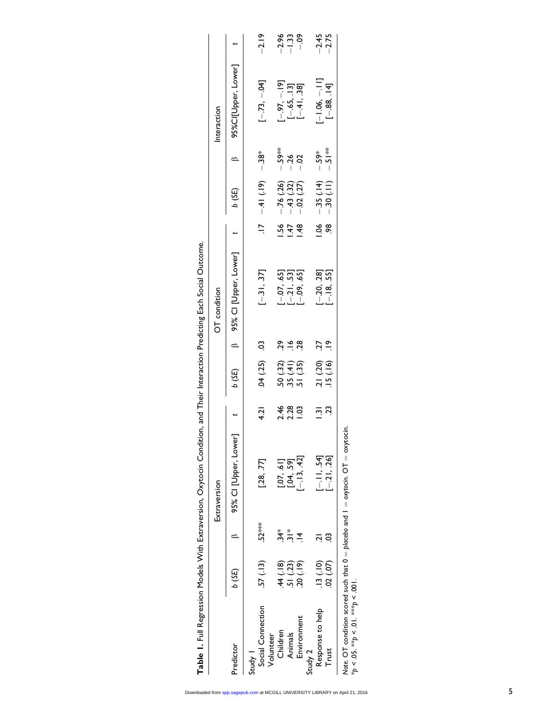|                                             |            |                | Extraversion                                                                         |                |                                                                    |               | OT condition                                    |                   |                                           |                        | Interaction                                  |                               |
|---------------------------------------------|------------|----------------|--------------------------------------------------------------------------------------|----------------|--------------------------------------------------------------------|---------------|-------------------------------------------------|-------------------|-------------------------------------------|------------------------|----------------------------------------------|-------------------------------|
| Predictor                                   | 6 (SE)     |                | 95% Cl [Upper, Lower] t                                                              |                | $(3E)$ d                                                           |               | B 95% Cl [Upper, Lower] t                       |                   | b (3E)                                    | $\circ$                | 95% CI[Upper, Lower] t                       |                               |
| Study 1                                     |            |                |                                                                                      |                |                                                                    |               |                                                 |                   |                                           |                        |                                              |                               |
| Social Connection<br>Volunteer              | .57(.13)   | $52***$        | [.28, .77]                                                                           | 4.21           | .04(.25)                                                           | S.            | $[-31, 37]$                                     | $\frac{1}{2}$     | $(-1) 1 + (-1)$                           | —"<br>-<br>138*        | $[-.73, -.04]$                               | $-2.19$                       |
| Children                                    | (18)       | $\frac{1}{24}$ |                                                                                      |                |                                                                    | 29            |                                                 |                   |                                           |                        |                                              |                               |
| Animals                                     | 51 (.23)   | $rac{*}{2}$    |                                                                                      |                |                                                                    | $\frac{8}{1}$ |                                                 | $\frac{1.56}{47}$ |                                           | - 59**<br>- 26<br>- 02 |                                              | $-2.33$<br>$-1.33$<br>$-1.39$ |
| Environment                                 | 20 (.19)   | $\overline{4}$ | $\begin{bmatrix} .07 & .61 \\ .04 & .59 \\ .13 & .42 \end{bmatrix}$                  |                | $\begin{array}{c} 50 \ (32) \\ 35 \ (41) \\ 51 \ (35) \end{array}$ | 28            | $[-.07, .65]$<br>$[-.21, .53]$<br>$[-.09, .65]$ | $\frac{48}{5}$    | $-76$ (.26)<br>$-43$ (.32)<br>$-02$ (.27) |                        | $[-.97, -.19]$<br>[-.65, .13]<br>[-.41, .38] |                               |
| Study 2                                     |            |                |                                                                                      |                |                                                                    |               |                                                 |                   |                                           |                        |                                              |                               |
| Response to help                            | $(01)$ SI. | بَ             | $[-.11, .54]$                                                                        | $\overline{2}$ |                                                                    | <b>127</b>    |                                                 | 0.06              |                                           |                        | $-1.06, -11$ ]                               | $-2.45$<br>$-2.75$            |
| Trust                                       | (02)(07)   | ວ              | $[-21, 26]$                                                                          | 23             | $.21(.20)$<br>$.15(.16)$                                           | $\frac{9}{1}$ | $[-.20, .28]$<br>$[-.18, .55]$                  | $\frac{8}{2}$     | $-35(14)$<br>-30(.11)                     | * 5.5°<br>- ^<br>- ^   | $[-.88, .14]$                                |                               |
| * $p < .05$ . ** $p < .01$ . *** $p < .001$ |            |                | Note. OT condition scored such that $0 =$ placebo and $1 =$ oxytocin. OT = oxytocin. |                |                                                                    |               |                                                 |                   |                                           |                        |                                              |                               |

Table 1. Full Regression Models With Extraversion, Oxytocin Condition, and Their Interaction Predicting Each Social Outcome. Table 1. Full Regression Models With Extraversion, Oxytocin Condition, and Their Interaction Predicting Each Social Outcome.

Downloaded from [spp.sagepub.com a](http://spp.sagepub.com/)t MCGILL UNIVERSITY LIBRARY on April 21, 2016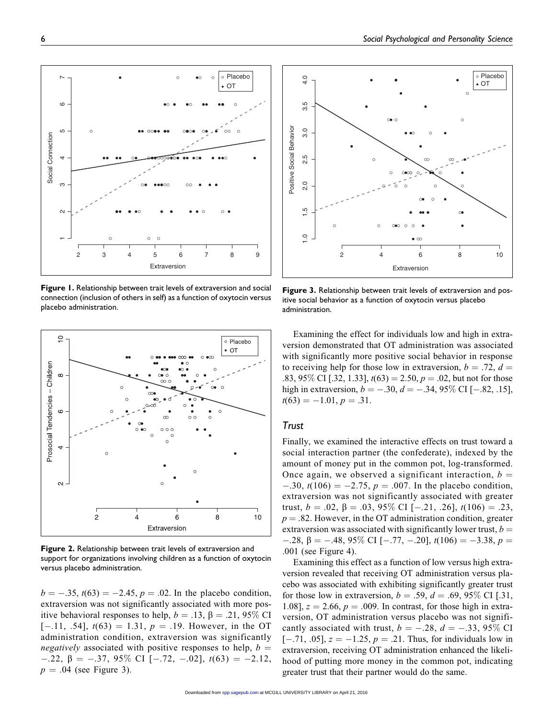Figure 1. Relationship between trait levels of extraversion and social connection (inclusion of others in self) as a function of oxytocin versus placebo administration.



 $b = -.35$ ,  $t(63) = -2.45$ ,  $p = .02$ . In the placebo condition, extraversion was not significantly associated with more positive behavioral responses to help,  $b = .13$ ,  $\beta = .21$ , 95% CI  $[-.11, .54], t(63) = 1.31, p = .19.$  However, in the OT administration condition, extraversion was significantly *negatively* associated with positive responses to help,  $b =$  $-.22, \beta = -.37, 95\% \text{ CI} [-.72, -.02], t(63) = -2.12,$  $p = .04$  (see Figure 3).

Figure 3. Relationship between trait levels of extraversion and positive social behavior as a function of oxytocin versus placebo administration.

Examining the effect for individuals low and high in extraversion demonstrated that OT administration was associated with significantly more positive social behavior in response to receiving help for those low in extraversion,  $b = .72$ ,  $d =$ .83, 95\% CI [.32, 1.33],  $t(63) = 2.50$ ,  $p = .02$ , but not for those high in extraversion,  $b = -.30$ ,  $d = -.34$ , 95% CI [-.82, .15],  $t(63) = -1.01, p = .31.$ 

## **Trust**

Finally, we examined the interactive effects on trust toward a social interaction partner (the confederate), indexed by the amount of money put in the common pot, log-transformed. Once again, we observed a significant interaction,  $b =$  $-0.30$ ,  $t(106) = -2.75$ ,  $p = .007$ . In the placebo condition, extraversion was not significantly associated with greater trust,  $b = .02$ ,  $\beta = .03$ ,  $95\%$  CI [-.21, .26],  $t(106) = .23$ ,  $p = .82$ . However, in the OT administration condition, greater extraversion was associated with significantly lower trust,  $b =$  $-.28, \beta = -.48, 95\% \text{ CI} [-.77, -.20], t(106) = -3.38, p =$ .001 (see Figure 4).

Examining this effect as a function of low versus high extraversion revealed that receiving OT administration versus placebo was associated with exhibiting significantly greater trust for those low in extraversion,  $b = .59$ ,  $d = .69$ , 95% CI [.31, 1.08],  $z = 2.66$ ,  $p = .009$ . In contrast, for those high in extraversion, OT administration versus placebo was not significantly associated with trust,  $b = -.28$ ,  $d = -.33$ , 95% CI  $[-.71, .05], z = -1.25, p = .21$ . Thus, for individuals low in extraversion, receiving OT administration enhanced the likelihood of putting more money in the common pot, indicating greater trust that their partner would do the same.





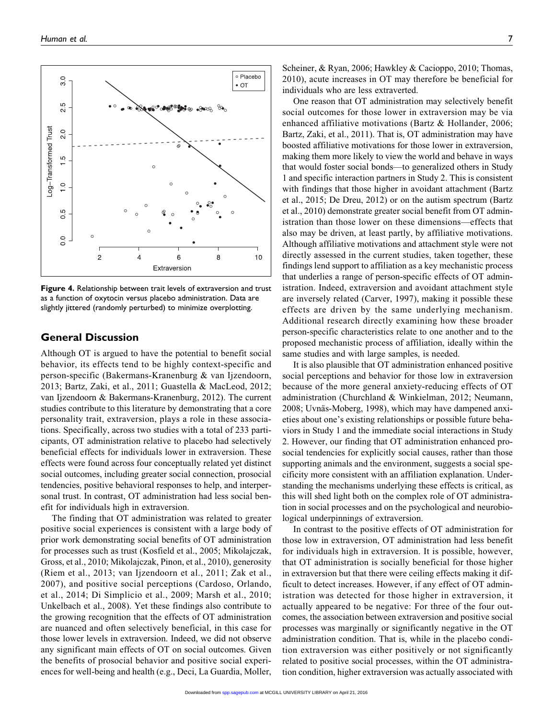

Figure 4. Relationship between trait levels of extraversion and trust as a function of oxytocin versus placebo administration. Data are slightly jittered (randomly perturbed) to minimize overplotting.

# General Discussion

Although OT is argued to have the potential to benefit social behavior, its effects tend to be highly context-specific and person-specific (Bakermans-Kranenburg & van Ijzendoorn, 2013; Bartz, Zaki, et al., 2011; Guastella & MacLeod, 2012; van Ijzendoorn & Bakermans-Kranenburg, 2012). The current studies contribute to this literature by demonstrating that a core personality trait, extraversion, plays a role in these associations. Specifically, across two studies with a total of 233 participants, OT administration relative to placebo had selectively beneficial effects for individuals lower in extraversion. These effects were found across four conceptually related yet distinct social outcomes, including greater social connection, prosocial tendencies, positive behavioral responses to help, and interpersonal trust. In contrast, OT administration had less social benefit for individuals high in extraversion.

The finding that OT administration was related to greater positive social experiences is consistent with a large body of prior work demonstrating social benefits of OT administration for processes such as trust (Kosfield et al., 2005; Mikolajczak, Gross, et al., 2010; Mikolajczak, Pinon, et al., 2010), generosity (Riem et al., 2013; van Ijzendoorn et al., 2011; Zak et al., 2007), and positive social perceptions (Cardoso, Orlando, et al., 2014; Di Simplicio et al., 2009; Marsh et al., 2010; Unkelbach et al., 2008). Yet these findings also contribute to the growing recognition that the effects of OT administration are nuanced and often selectively beneficial, in this case for those lower levels in extraversion. Indeed, we did not observe any significant main effects of OT on social outcomes. Given the benefits of prosocial behavior and positive social experiences for well-being and health (e.g., Deci, La Guardia, Moller,

Scheiner, & Ryan, 2006; Hawkley & Cacioppo, 2010; Thomas, 2010), acute increases in OT may therefore be beneficial for individuals who are less extraverted.

One reason that OT administration may selectively benefit social outcomes for those lower in extraversion may be via enhanced affiliative motivations (Bartz & Hollander, 2006; Bartz, Zaki, et al., 2011). That is, OT administration may have boosted affiliative motivations for those lower in extraversion, making them more likely to view the world and behave in ways that would foster social bonds—to generalized others in Study 1 and specific interaction partners in Study 2. This is consistent with findings that those higher in avoidant attachment (Bartz et al., 2015; De Dreu, 2012) or on the autism spectrum (Bartz et al., 2010) demonstrate greater social benefit from OT administration than those lower on these dimensions—effects that also may be driven, at least partly, by affiliative motivations. Although affiliative motivations and attachment style were not directly assessed in the current studies, taken together, these findings lend support to affiliation as a key mechanistic process that underlies a range of person-specific effects of OT administration. Indeed, extraversion and avoidant attachment style are inversely related (Carver, 1997), making it possible these effects are driven by the same underlying mechanism. Additional research directly examining how these broader person-specific characteristics relate to one another and to the proposed mechanistic process of affiliation, ideally within the same studies and with large samples, is needed.

It is also plausible that OT administration enhanced positive social perceptions and behavior for those low in extraversion because of the more general anxiety-reducing effects of OT administration (Churchland & Winkielman, 2012; Neumann, 2008; Uvnäs-Moberg, 1998), which may have dampened anxieties about one's existing relationships or possible future behaviors in Study 1 and the immediate social interactions in Study 2. However, our finding that OT administration enhanced prosocial tendencies for explicitly social causes, rather than those supporting animals and the environment, suggests a social specificity more consistent with an affiliation explanation. Understanding the mechanisms underlying these effects is critical, as this will shed light both on the complex role of OT administration in social processes and on the psychological and neurobiological underpinnings of extraversion.

In contrast to the positive effects of OT administration for those low in extraversion, OT administration had less benefit for individuals high in extraversion. It is possible, however, that OT administration is socially beneficial for those higher in extraversion but that there were ceiling effects making it difficult to detect increases. However, if any effect of OT administration was detected for those higher in extraversion, it actually appeared to be negative: For three of the four outcomes, the association between extraversion and positive social processes was marginally or significantly negative in the OT administration condition. That is, while in the placebo condition extraversion was either positively or not significantly related to positive social processes, within the OT administration condition, higher extraversion was actually associated with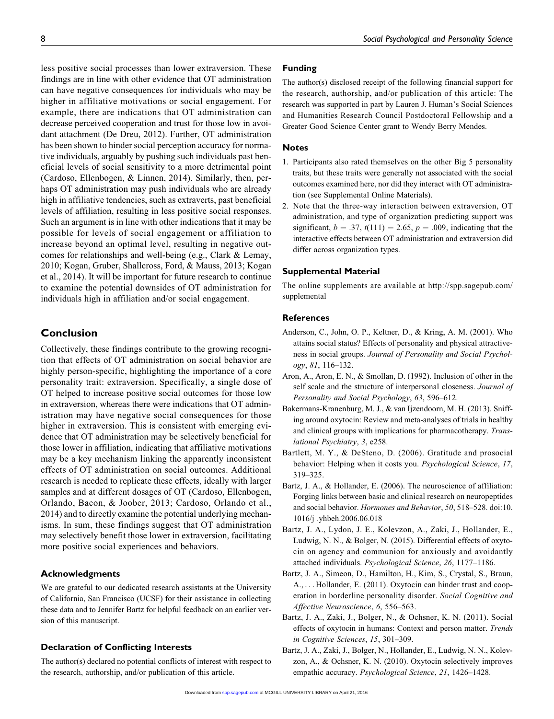less positive social processes than lower extraversion. These findings are in line with other evidence that OT administration can have negative consequences for individuals who may be higher in affiliative motivations or social engagement. For example, there are indications that OT administration can decrease perceived cooperation and trust for those low in avoidant attachment (De Dreu, 2012). Further, OT administration has been shown to hinder social perception accuracy for normative individuals, arguably by pushing such individuals past beneficial levels of social sensitivity to a more detrimental point (Cardoso, Ellenbogen, & Linnen, 2014). Similarly, then, perhaps OT administration may push individuals who are already high in affiliative tendencies, such as extraverts, past beneficial levels of affiliation, resulting in less positive social responses. Such an argument is in line with other indications that it may be possible for levels of social engagement or affiliation to increase beyond an optimal level, resulting in negative outcomes for relationships and well-being (e.g., Clark & Lemay, 2010; Kogan, Gruber, Shallcross, Ford, & Mauss, 2013; Kogan et al., 2014). It will be important for future research to continue to examine the potential downsides of OT administration for individuals high in affiliation and/or social engagement.

# Conclusion

Collectively, these findings contribute to the growing recognition that effects of OT administration on social behavior are highly person-specific, highlighting the importance of a core personality trait: extraversion. Specifically, a single dose of OT helped to increase positive social outcomes for those low in extraversion, whereas there were indications that OT administration may have negative social consequences for those higher in extraversion. This is consistent with emerging evidence that OT administration may be selectively beneficial for those lower in affiliation, indicating that affiliative motivations may be a key mechanism linking the apparently inconsistent effects of OT administration on social outcomes. Additional research is needed to replicate these effects, ideally with larger samples and at different dosages of OT (Cardoso, Ellenbogen, Orlando, Bacon, & Joober, 2013; Cardoso, Orlando et al., 2014) and to directly examine the potential underlying mechanisms. In sum, these findings suggest that OT administration may selectively benefit those lower in extraversion, facilitating more positive social experiences and behaviors.

### Acknowledgments

We are grateful to our dedicated research assistants at the University of California, San Francisco (UCSF) for their assistance in collecting these data and to Jennifer Bartz for helpful feedback on an earlier version of this manuscript.

## Declaration of Conflicting Interests

The author(s) declared no potential conflicts of interest with respect to the research, authorship, and/or publication of this article.

# Funding

The author(s) disclosed receipt of the following financial support for the research, authorship, and/or publication of this article: The research was supported in part by Lauren J. Human's Social Sciences and Humanities Research Council Postdoctoral Fellowship and a Greater Good Science Center grant to Wendy Berry Mendes.

#### Notes

- 1. Participants also rated themselves on the other Big 5 personality traits, but these traits were generally not associated with the social outcomes examined here, nor did they interact with OT administration (see Supplemental Online Materials).
- 2. Note that the three-way interaction between extraversion, OT administration, and type of organization predicting support was significant,  $b = .37$ ,  $t(111) = 2.65$ ,  $p = .009$ , indicating that the interactive effects between OT administration and extraversion did differ across organization types.

#### Supplemental Material

The online supplements are available at [http://spp.sagepub.com/](http://spp.sagepub.com/supplemental) [supplemental](http://spp.sagepub.com/supplemental)

## References

- Anderson, C., John, O. P., Keltner, D., & Kring, A. M. (2001). Who attains social status? Effects of personality and physical attractiveness in social groups. Journal of Personality and Social Psychology, 81, 116–132.
- Aron, A., Aron, E. N., & Smollan, D. (1992). Inclusion of other in the self scale and the structure of interpersonal closeness. Journal of Personality and Social Psychology, 63, 596–612.
- Bakermans-Kranenburg, M. J., & van Ijzendoorn, M. H. (2013). Sniffing around oxytocin: Review and meta-analyses of trials in healthy and clinical groups with implications for pharmacotherapy. Translational Psychiatry, 3, e258.
- Bartlett, M. Y., & DeSteno, D. (2006). Gratitude and prosocial behavior: Helping when it costs you. Psychological Science, 17, 319–325.
- Bartz, J. A., & Hollander, E. (2006). The neuroscience of affiliation: Forging links between basic and clinical research on neuropeptides and social behavior. Hormones and Behavior, 50, 518–528. doi:10. 1016/j .yhbeh.2006.06.018
- Bartz, J. A., Lydon, J. E., Kolevzon, A., Zaki, J., Hollander, E., Ludwig, N. N., & Bolger, N. (2015). Differential effects of oxytocin on agency and communion for anxiously and avoidantly attached individuals. Psychological Science, 26, 1177–1186.
- Bartz, J. A., Simeon, D., Hamilton, H., Kim, S., Crystal, S., Braun, A., ... Hollander, E. (2011). Oxytocin can hinder trust and cooperation in borderline personality disorder. Social Cognitive and Affective Neuroscience, 6, 556–563.
- Bartz, J. A., Zaki, J., Bolger, N., & Ochsner, K. N. (2011). Social effects of oxytocin in humans: Context and person matter. Trends in Cognitive Sciences, 15, 301–309.
- Bartz, J. A., Zaki, J., Bolger, N., Hollander, E., Ludwig, N. N., Kolevzon, A., & Ochsner, K. N. (2010). Oxytocin selectively improves empathic accuracy. Psychological Science, 21, 1426–1428.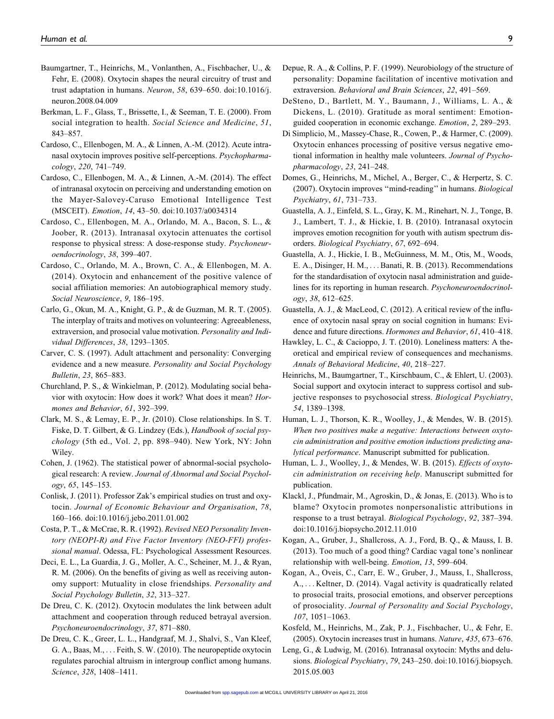- Baumgartner, T., Heinrichs, M., Vonlanthen, A., Fischbacher, U., & Fehr, E. (2008). Oxytocin shapes the neural circuitry of trust and trust adaptation in humans. Neuron, 58, 639–650. doi:10.1016/j. neuron.2008.04.009
- Berkman, L. F., Glass, T., Brissette, I., & Seeman, T. E. (2000). From social integration to health. Social Science and Medicine, 51, 843–857.
- Cardoso, C., Ellenbogen, M. A., & Linnen, A.-M. (2012). Acute intranasal oxytocin improves positive self-perceptions. Psychopharmacology, 220, 741–749.
- Cardoso, C., Ellenbogen, M. A., & Linnen, A.-M. (2014). The effect of intranasal oxytocin on perceiving and understanding emotion on the Mayer-Salovey-Caruso Emotional Intelligence Test (MSCEIT). Emotion, 14, 43–50. doi:10.1037/a0034314
- Cardoso, C., Ellenbogen, M. A., Orlando, M. A., Bacon, S. L., & Joober, R. (2013). Intranasal oxytocin attenuates the cortisol response to physical stress: A dose-response study. Psychoneuroendocrinology, 38, 399–407.
- Cardoso, C., Orlando, M. A., Brown, C. A., & Ellenbogen, M. A. (2014). Oxytocin and enhancement of the positive valence of social affiliation memories: An autobiographical memory study. Social Neuroscience, 9, 186–195.
- Carlo, G., Okun, M. A., Knight, G. P., & de Guzman, M. R. T. (2005). The interplay of traits and motives on volunteering: Agreeableness, extraversion, and prosocial value motivation. Personality and Individual Differences, 38, 1293–1305.
- Carver, C. S. (1997). Adult attachment and personality: Converging evidence and a new measure. Personality and Social Psychology Bulletin, 23, 865–883.
- Churchland, P. S., & Winkielman, P. (2012). Modulating social behavior with oxytocin: How does it work? What does it mean? Hormones and Behavior, 61, 392–399.
- Clark, M. S., & Lemay, E. P., Jr. (2010). Close relationships. In S. T. Fiske, D. T. Gilbert, & G. Lindzey (Eds.), *Handbook of social psy*chology (5th ed., Vol. 2, pp. 898–940). New York, NY: John Wiley.
- Cohen, J. (1962). The statistical power of abnormal-social psychological research: A review. Journal of Abnormal and Social Psychology, 65, 145–153.
- Conlisk, J. (2011). Professor Zak's empirical studies on trust and oxytocin. Journal of Economic Behaviour and Organisation, 78, 160–166. doi:10.1016/j.jebo.2011.01.002
- Costa, P. T., & McCrae, R. R. (1992). Revised NEO Personality Inventory (NEOPI-R) and Five Factor Inventory (NEO-FFI) professional manual. Odessa, FL: Psychological Assessment Resources.
- Deci, E. L., La Guardia, J. G., Moller, A. C., Scheiner, M. J., & Ryan, R. M. (2006). On the benefits of giving as well as receiving autonomy support: Mutuality in close friendships. Personality and Social Psychology Bulletin, 32, 313–327.
- De Dreu, C. K. (2012). Oxytocin modulates the link between adult attachment and cooperation through reduced betrayal aversion. Psychoneuroendocrinology, 37, 871–880.
- De Dreu, C. K., Greer, L. L., Handgraaf, M. J., Shalvi, S., Van Kleef, G. A., Baas, M., ... Feith, S. W. (2010). The neuropeptide oxytocin regulates parochial altruism in intergroup conflict among humans. Science, 328, 1408–1411.
- Depue, R. A., & Collins, P. F. (1999). Neurobiology of the structure of personality: Dopamine facilitation of incentive motivation and extraversion. Behavioral and Brain Sciences, 22, 491–569.
- DeSteno, D., Bartlett, M. Y., Baumann, J., Williams, L. A., & Dickens, L. (2010). Gratitude as moral sentiment: Emotionguided cooperation in economic exchange. Emotion, 2, 289–293.
- Di Simplicio, M., Massey-Chase, R., Cowen, P., & Harmer, C. (2009). Oxytocin enhances processing of positive versus negative emotional information in healthy male volunteers. Journal of Psychopharmacology, 23, 241–248.
- Domes, G., Heinrichs, M., Michel, A., Berger, C., & Herpertz, S. C. (2007). Oxytocin improves ''mind-reading'' in humans. Biological Psychiatry, 61, 731–733.
- Guastella, A. J., Einfeld, S. L., Gray, K. M., Rinehart, N. J., Tonge, B. J., Lambert, T. J., & Hickie, I. B. (2010). Intranasal oxytocin improves emotion recognition for youth with autism spectrum disorders. Biological Psychiatry, 67, 692–694.
- Guastella, A. J., Hickie, I. B., McGuinness, M. M., Otis, M., Woods, E. A., Disinger, H. M., ...Banati, R. B. (2013). Recommendations for the standardisation of oxytocin nasal administration and guidelines for its reporting in human research. Psychoneuroendocrinology, 38, 612–625.
- Guastella, A. J., & MacLeod, C. (2012). A critical review of the influence of oxytocin nasal spray on social cognition in humans: Evidence and future directions. Hormones and Behavior, 61, 410-418.
- Hawkley, L. C., & Cacioppo, J. T. (2010). Loneliness matters: A theoretical and empirical review of consequences and mechanisms. Annals of Behavioral Medicine, 40, 218–227.
- Heinrichs, M., Baumgartner, T., Kirschbaum, C., & Ehlert, U. (2003). Social support and oxytocin interact to suppress cortisol and subjective responses to psychosocial stress. Biological Psychiatry, 54, 1389–1398.
- Human, L. J., Thorson, K. R., Woolley, J., & Mendes, W. B. (2015). When two positives make a negative: Interactions between oxytocin administration and positive emotion inductions predicting analytical performance. Manuscript submitted for publication.
- Human, L. J., Woolley, J., & Mendes, W. B. (2015). Effects of oxytocin administration on receiving help. Manuscript submitted for publication.
- Klackl, J., Pfundmair, M., Agroskin, D., & Jonas, E. (2013). Who is to blame? Oxytocin promotes nonpersonalistic attributions in response to a trust betrayal. Biological Psychology, 92, 387–394. doi:10.1016/j.biopsycho.2012.11.010
- Kogan, A., Gruber, J., Shallcross, A. J., Ford, B. Q., & Mauss, I. B. (2013). Too much of a good thing? Cardiac vagal tone's nonlinear relationship with well-being. Emotion, 13, 599–604.
- Kogan, A., Oveis, C., Carr, E. W., Gruber, J., Mauss, I., Shallcross, A., ... Keltner, D. (2014). Vagal activity is quadratically related to prosocial traits, prosocial emotions, and observer perceptions of prosociality. Journal of Personality and Social Psychology, 107, 1051–1063.
- Kosfeld, M., Heinrichs, M., Zak, P. J., Fischbacher, U., & Fehr, E. (2005). Oxytocin increases trust in humans. Nature, 435, 673–676.
- Leng, G., & Ludwig, M. (2016). Intranasal oxytocin: Myths and delusions. Biological Psychiatry, 79, 243–250. doi:10.1016/j.biopsych. 2015.05.003